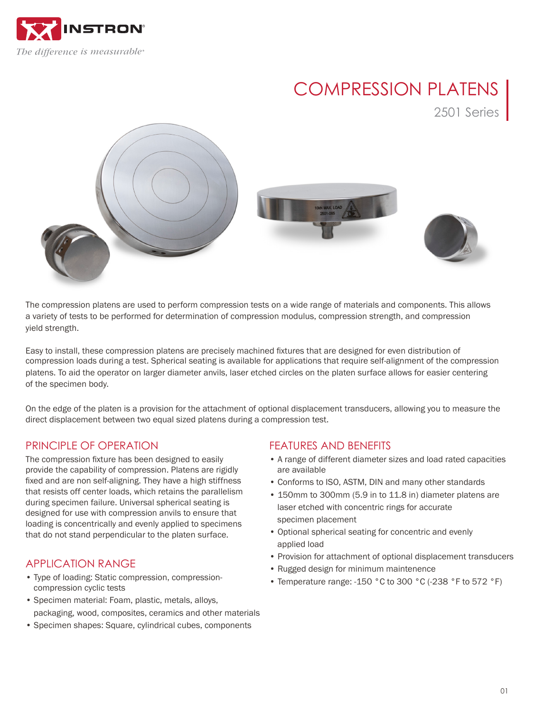

# COMPRESSION PLATENS

2501 Series



The compression platens are used to perform compression tests on a wide range of materials and components. This allows a variety of tests to be performed for determination of compression modulus, compression strength, and compression yield strength.

Easy to install, these compression platens are precisely machined fixtures that are designed for even distribution of compression loads during a test. Spherical seating is available for applications that require self-alignment of the compression platens. To aid the operator on larger diameter anvils, laser etched circles on the platen surface allows for easier centering of the specimen body.

On the edge of the platen is a provision for the attachment of optional displacement transducers, allowing you to measure the direct displacement between two equal sized platens during a compression test.

# PRINCIPI F OF OPFRATION

The compression fixture has been designed to easily provide the capability of compression. Platens are rigidly fixed and are non self-aligning. They have a high stiffness that resists off center loads, which retains the parallelism during specimen failure. Universal spherical seating is designed for use with compression anvils to ensure that loading is concentrically and evenly applied to specimens that do not stand perpendicular to the platen surface.

## APPLICATION RANGE

- Type of loading: Static compression, compressioncompression cyclic tests
- Specimen material: Foam, plastic, metals, alloys, packaging, wood, composites, ceramics and other materials
- Specimen shapes: Square, cylindrical cubes, components

## FEATURES AND BENEFITS

- A range of different diameter sizes and load rated capacities are available
- Conforms to ISO, ASTM, DIN and many other standards
- 150mm to 300mm (5.9 in to 11.8 in) diameter platens are laser etched with concentric rings for accurate specimen placement
- Optional spherical seating for concentric and evenly applied load
- Provision for attachment of optional displacement transducers
- Rugged design for minimum maintenence
- Temperature range: -150 °C to 300 °C (-238 °F to 572 °F)